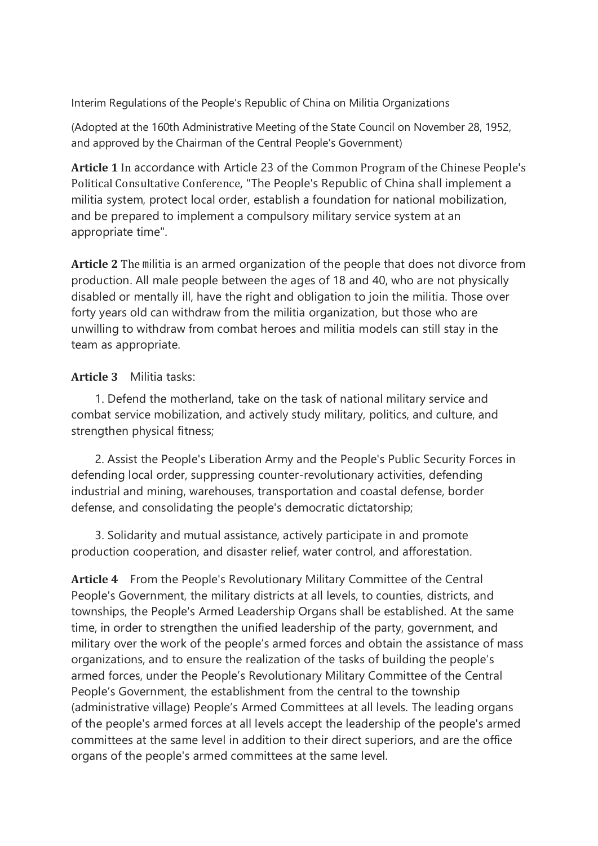Interim Regulations of the People's Republic of China on Militia Organizations

(Adopted at the 160th Administrative Meeting of the State Council on November 28, 1952, and approved by the Chairman of the Central People's Government)

**Article 1** In accordance with Article 23 of the Common Program of the Chinese People's Political Consultative Conference, "The People's Republic of China shall implement a militia system, protect local order, establish a foundation for national mobilization, and be prepared to implement a compulsory military service system at an appropriate time".

**Article 2** The militia is an armed organization of the people that does not divorce from production. All male people between the ages of 18 and 40, who are not physically disabled or mentally ill, have the right and obligation to join the militia. Those over forty years old can withdraw from the militia organization, but those who are unwilling to withdraw from combat heroes and militia models can still stay in the team as appropriate.

## **Article 3** Militia tasks:

 1. Defend the motherland, take on the task of national military service and combat service mobilization, and actively study military, politics, and culture, and strengthen physical fitness;

 2. Assist the People's Liberation Army and the People's Public Security Forces in defending local order, suppressing counter-revolutionary activities, defending industrial and mining, warehouses, transportation and coastal defense, border defense, and consolidating the people's democratic dictatorship;

 3. Solidarity and mutual assistance, actively participate in and promote production cooperation, and disaster relief, water control, and afforestation.

**Article 4** From the People's Revolutionary Military Committee of the Central People's Government, the military districts at all levels, to counties, districts, and townships, the People's Armed Leadership Organs shall be established. At the same time, in order to strengthen the unified leadership of the party, government, and military over the work of the people's armed forces and obtain the assistance of mass organizations, and to ensure the realization of the tasks of building the people's armed forces, under the People's Revolutionary Military Committee of the Central People's Government, the establishment from the central to the township (administrative village) People's Armed Committees at all levels. The leading organs of the people's armed forces at all levels accept the leadership of the people's armed committees at the same level in addition to their direct superiors, and are the office organs of the people's armed committees at the same level.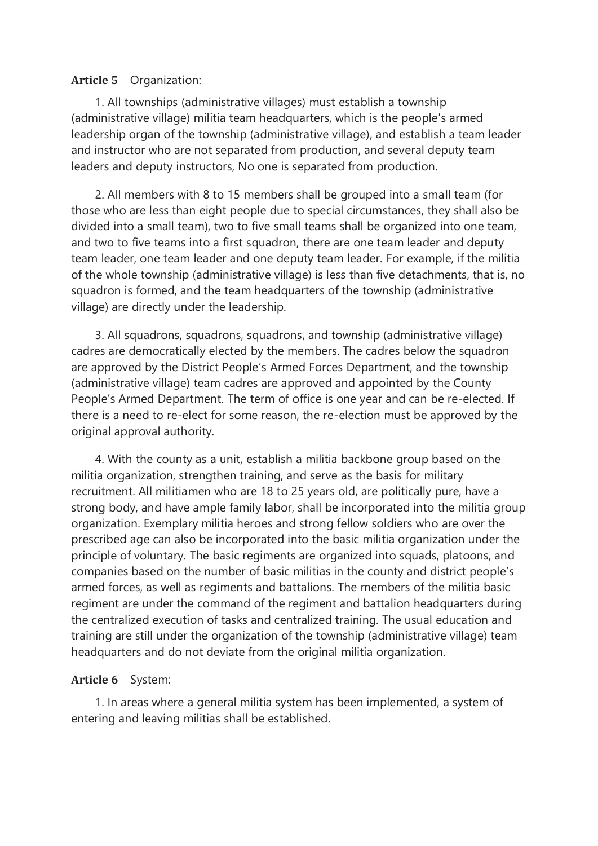## **Article 5** Organization:

 1. All townships (administrative villages) must establish a township (administrative village) militia team headquarters, which is the people's armed leadership organ of the township (administrative village), and establish a team leader and instructor who are not separated from production, and several deputy team leaders and deputy instructors, No one is separated from production.

 2. All members with 8 to 15 members shall be grouped into a small team (for those who are less than eight people due to special circumstances, they shall also be divided into a small team), two to five small teams shall be organized into one team, and two to five teams into a first squadron, there are one team leader and deputy team leader, one team leader and one deputy team leader. For example, if the militia of the whole township (administrative village) is less than five detachments, that is, no squadron is formed, and the team headquarters of the township (administrative village) are directly under the leadership.

 3. All squadrons, squadrons, squadrons, and township (administrative village) cadres are democratically elected by the members. The cadres below the squadron are approved by the District People's Armed Forces Department, and the township (administrative village) team cadres are approved and appointed by the County People's Armed Department. The term of office is one year and can be re-elected. If there is a need to re-elect for some reason, the re-election must be approved by the original approval authority.

 4. With the county as a unit, establish a militia backbone group based on the militia organization, strengthen training, and serve as the basis for military recruitment. All militiamen who are 18 to 25 years old, are politically pure, have a strong body, and have ample family labor, shall be incorporated into the militia group organization. Exemplary militia heroes and strong fellow soldiers who are over the prescribed age can also be incorporated into the basic militia organization under the principle of voluntary. The basic regiments are organized into squads, platoons, and companies based on the number of basic militias in the county and district people's armed forces, as well as regiments and battalions. The members of the militia basic regiment are under the command of the regiment and battalion headquarters during the centralized execution of tasks and centralized training. The usual education and training are still under the organization of the township (administrative village) team headquarters and do not deviate from the original militia organization.

## **Article 6** System:

 1. In areas where a general militia system has been implemented, a system of entering and leaving militias shall be established.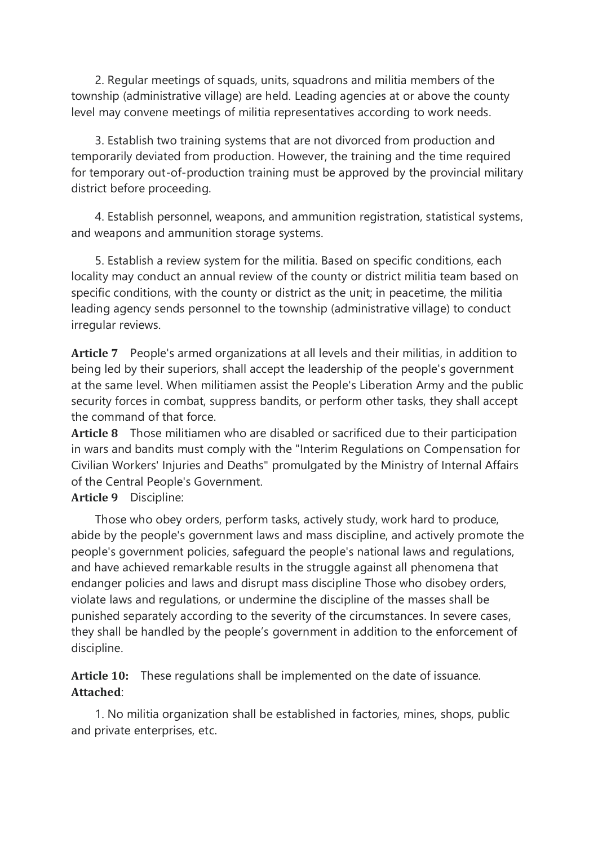2. Regular meetings of squads, units, squadrons and militia members of the township (administrative village) are held. Leading agencies at or above the county level may convene meetings of militia representatives according to work needs.

 3. Establish two training systems that are not divorced from production and temporarily deviated from production. However, the training and the time required for temporary out-of-production training must be approved by the provincial military district before proceeding.

 4. Establish personnel, weapons, and ammunition registration, statistical systems, and weapons and ammunition storage systems.

 5. Establish a review system for the militia. Based on specific conditions, each locality may conduct an annual review of the county or district militia team based on specific conditions, with the county or district as the unit; in peacetime, the militia leading agency sends personnel to the township (administrative village) to conduct irregular reviews.

**Article 7** People's armed organizations at all levels and their militias, in addition to being led by their superiors, shall accept the leadership of the people's government at the same level. When militiamen assist the People's Liberation Army and the public security forces in combat, suppress bandits, or perform other tasks, they shall accept the command of that force.

**Article 8** Those militiamen who are disabled or sacrificed due to their participation in wars and bandits must comply with the "Interim Regulations on Compensation for Civilian Workers' Injuries and Deaths" promulgated by the Ministry of Internal Affairs of the Central People's Government.

## **Article 9** Discipline:

 Those who obey orders, perform tasks, actively study, work hard to produce, abide by the people's government laws and mass discipline, and actively promote the people's government policies, safeguard the people's national laws and regulations, and have achieved remarkable results in the struggle against all phenomena that endanger policies and laws and disrupt mass discipline Those who disobey orders, violate laws and regulations, or undermine the discipline of the masses shall be punished separately according to the severity of the circumstances. In severe cases, they shall be handled by the people's government in addition to the enforcement of discipline.

**Article 10:** These regulations shall be implemented on the date of issuance. **Attached**:

 1. No militia organization shall be established in factories, mines, shops, public and private enterprises, etc.